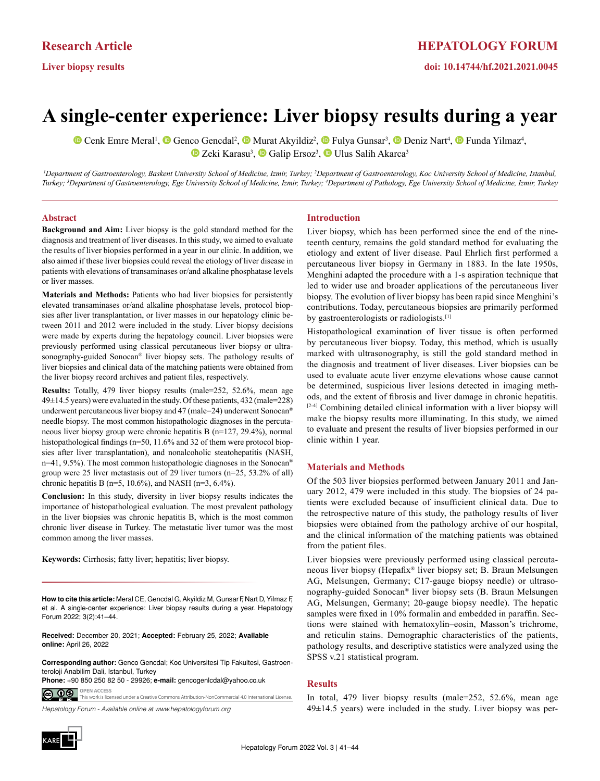**Liver biopsy results**

# **A single-center experience: Liver biopsy results during a year**

CenkEmre Meral<sup>1</sup>,  $\bullet$  Genco Gencdal<sup>2</sup>,  $\bullet$  Murat Akyildiz<sup>2</sup>,  $\bullet$  Fulya Gunsar<sup>3</sup>,  $\bullet$  Deniz Nart<sup>4</sup>,  $\bullet$  Funda Yilmaz<sup>4</sup>, ZekiKarasu<sup>3</sup>, <sup>1</sup>D Galip Ersoz<sup>3</sup>, <sup>1D</sup> Ulus Salih Akarca<sup>3</sup>

<sup>1</sup>Department of Gastroenterology, Baskent University School of Medicine, Izmir, Turkey; <sup>2</sup>Department of Gastroenterology, Koc University School of Medicine, Istanbul, *Turkey; 3 Department of Gastroenterology, Ege University School of Medicine, Izmir, Turkey; 4 Department of Pathology, Ege University School of Medicine, Izmir, Turkey*

#### **Abstract**

**Background and Aim:** Liver biopsy is the gold standard method for the diagnosis and treatment of liver diseases. In this study, we aimed to evaluate the results of liver biopsies performed in a year in our clinic. In addition, we also aimed if these liver biopsies could reveal the etiology of liver disease in patients with elevations of transaminases or/and alkaline phosphatase levels or liver masses.

**Materials and Methods:** Patients who had liver biopsies for persistently elevated transaminases or/and alkaline phosphatase levels, protocol biopsies after liver transplantation, or liver masses in our hepatology clinic between 2011 and 2012 were included in the study. Liver biopsy decisions were made by experts during the hepatology council. Liver biopsies were previously performed using classical percutaneous liver biopsy or ultrasonography-guided Sonocan® liver biopsy sets. The pathology results of liver biopsies and clinical data of the matching patients were obtained from the liver biopsy record archives and patient files, respectively.

**Results:** Totally, 479 liver biopsy results (male=252, 52.6%, mean age  $49\pm14.5$  years) were evaluated in the study. Of these patients,  $432$  (male=228) underwent percutaneous liver biopsy and 47 (male=24) underwent Sonocan® needle biopsy. The most common histopathologic diagnoses in the percutaneous liver biopsy group were chronic hepatitis B (n=127, 29.4%), normal histopathological findings (n=50, 11.6% and 32 of them were protocol biopsies after liver transplantation), and nonalcoholic steatohepatitis (NASH,  $n=41, 9.5%$ ). The most common histopathologic diagnoses in the Sonocan<sup>®</sup> group were 25 liver metastasis out of 29 liver tumors (n=25, 53.2% of all) chronic hepatitis B ( $n=5$ , 10.6%), and NASH ( $n=3$ , 6.4%).

**Conclusion:** In this study, diversity in liver biopsy results indicates the importance of histopathological evaluation. The most prevalent pathology in the liver biopsies was chronic hepatitis B, which is the most common chronic liver disease in Turkey. The metastatic liver tumor was the most common among the liver masses.

**Keywords:** Cirrhosis; fatty liver; hepatitis; liver biopsy.

**How to cite this article:** Meral CE, Gencdal G, Akyildiz M, Gunsar F, Nart D, Yilmaz F, et al. A single-center experience: Liver biopsy results during a year. Hepatology Forum 2022; 3(2):41–44.

**Received:** December 20, 2021; **Accepted:** February 25, 2022; **Available online:** April 26, 2022

**Corresponding author:** Genco Gencdal; Koc Universitesi Tip Fakultesi, Gastroenteroloji Anabilim Dali, Istanbul, Turkey

**Phone:** +90 850 250 82 50 - 29926; **e-mail:** gencogenlcdal@yahoo.co.uk**OPEN ACCESS** <u>ම ගම</u>

*Hepatology Forum - Available online at www.hepatologyforum.org* This work is licensed under a Creative Commons Attribution-NonCommercial 4.0 International License.

# KARE

### **Introduction**

Liver biopsy, which has been performed since the end of the nineteenth century, remains the gold standard method for evaluating the etiology and extent of liver disease. Paul Ehrlich first performed a percutaneous liver biopsy in Germany in 1883. In the late 1950s, Menghini adapted the procedure with a 1-s aspiration technique that led to wider use and broader applications of the percutaneous liver biopsy. The evolution of liver biopsy has been rapid since Menghini's contributions. Today, percutaneous biopsies are primarily performed by gastroenterologists or radiologists.[1]

Histopathological examination of liver tissue is often performed by percutaneous liver biopsy. Today, this method, which is usually marked with ultrasonography, is still the gold standard method in the diagnosis and treatment of liver diseases. Liver biopsies can be used to evaluate acute liver enzyme elevations whose cause cannot be determined, suspicious liver lesions detected in imaging methods, and the extent of fibrosis and liver damage in chronic hepatitis.  $[2-4]$  Combining detailed clinical information with a liver biopsy will make the biopsy results more illuminating. In this study, we aimed to evaluate and present the results of liver biopsies performed in our clinic within 1 year.

### **Materials and Methods**

Of the 503 liver biopsies performed between January 2011 and January 2012, 479 were included in this study. The biopsies of 24 patients were excluded because of insufficient clinical data. Due to the retrospective nature of this study, the pathology results of liver biopsies were obtained from the pathology archive of our hospital, and the clinical information of the matching patients was obtained from the patient files.

Liver biopsies were previously performed using classical percutaneous liver biopsy (Hepafix® liver biopsy set; B. Braun Melsungen AG, Melsungen, Germany; C17-gauge biopsy needle) or ultrasonography-guided Sonocan® liver biopsy sets (B. Braun Melsungen AG, Melsungen, Germany; 20-gauge biopsy needle). The hepatic samples were fixed in 10% formalin and embedded in paraffin. Sections were stained with hematoxylin–eosin, Masson's trichrome, and reticulin stains. Demographic characteristics of the patients, pathology results, and descriptive statistics were analyzed using the SPSS v.21 statistical program.

#### **Results**

In total, 479 liver biopsy results (male=252, 52.6%, mean age 49±14.5 years) were included in the study. Liver biopsy was per-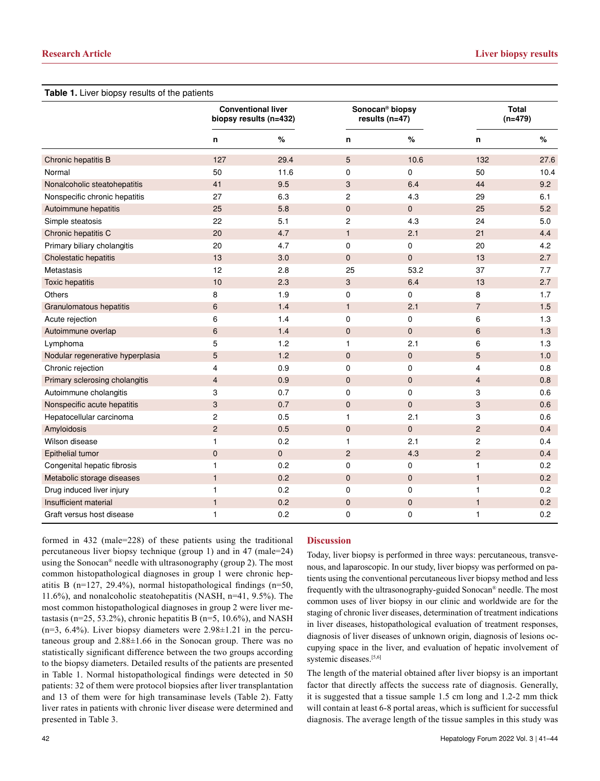| Table 1. Liver biopsy results of the patients |                                                     |             |                                                 |              |                           |      |  |  |  |
|-----------------------------------------------|-----------------------------------------------------|-------------|-------------------------------------------------|--------------|---------------------------|------|--|--|--|
|                                               | <b>Conventional liver</b><br>biopsy results (n=432) |             | Sonocan <sup>®</sup> biopsy<br>$results (n=47)$ |              | <b>Total</b><br>$(n=479)$ |      |  |  |  |
|                                               | n                                                   | $\%$        | n                                               | $\%$         | n                         | $\%$ |  |  |  |
| Chronic hepatitis B                           | 127                                                 | 29.4        | 5                                               | 10.6         | 132                       | 27.6 |  |  |  |
| Normal                                        | 50                                                  | 11.6        | 0                                               | 0            | 50                        | 10.4 |  |  |  |
| Nonalcoholic steatohepatitis                  | 41                                                  | 9.5         | 3                                               | 6.4          | 44                        | 9.2  |  |  |  |
| Nonspecific chronic hepatitis                 | 27                                                  | 6.3         | 2                                               | 4.3          | 29                        | 6.1  |  |  |  |
| Autoimmune hepatitis                          | 25                                                  | 5.8         | $\mathsf{O}\xspace$                             | $\mathbf 0$  | 25                        | 5.2  |  |  |  |
| Simple steatosis                              | 22                                                  | 5.1         | 2                                               | 4.3          | 24                        | 5.0  |  |  |  |
| Chronic hepatitis C                           | 20                                                  | 4.7         | $\mathbf{1}$                                    | 2.1          | 21                        | 4.4  |  |  |  |
| Primary biliary cholangitis                   | 20                                                  | 4.7         | 0                                               | 0            | 20                        | 4.2  |  |  |  |
| Cholestatic hepatitis                         | 13                                                  | 3.0         | 0                                               | $\mathbf 0$  | 13                        | 2.7  |  |  |  |
| <b>Metastasis</b>                             | 12                                                  | 2.8         | 25                                              | 53.2         | 37                        | 7.7  |  |  |  |
| <b>Toxic hepatitis</b>                        | 10                                                  | 2.3         | 3                                               | 6.4          | 13                        | 2.7  |  |  |  |
| Others                                        | 8                                                   | 1.9         | 0                                               | 0            | 8                         | 1.7  |  |  |  |
| Granulomatous hepatitis                       | 6                                                   | 1.4         | $\mathbf{1}$                                    | 2.1          | $\overline{7}$            | 1.5  |  |  |  |
| Acute rejection                               | 6                                                   | 1.4         | 0                                               | 0            | 6                         | 1.3  |  |  |  |
| Autoimmune overlap                            | $6\phantom{1}$                                      | 1.4         | $\pmb{0}$                                       | $\mathbf 0$  | $6\phantom{1}$            | 1.3  |  |  |  |
| Lymphoma                                      | 5                                                   | 1.2         | 1                                               | 2.1          | 6                         | 1.3  |  |  |  |
| Nodular regenerative hyperplasia              | 5                                                   | 1.2         | 0                                               | 0            | 5                         | 1.0  |  |  |  |
| Chronic rejection                             | 4                                                   | 0.9         | 0                                               | 0            | $\overline{4}$            | 0.8  |  |  |  |
| Primary sclerosing cholangitis                | $\overline{4}$                                      | 0.9         | $\mathbf 0$                                     | $\mathbf{0}$ | $\overline{4}$            | 0.8  |  |  |  |
| Autoimmune cholangitis                        | 3                                                   | 0.7         | 0                                               | 0            | 3                         | 0.6  |  |  |  |
| Nonspecific acute hepatitis                   | 3                                                   | 0.7         | 0                                               | 0            | 3                         | 0.6  |  |  |  |
| Hepatocellular carcinoma                      | $\overline{c}$                                      | 0.5         | 1                                               | 2.1          | 3                         | 0.6  |  |  |  |
| Amyloidosis                                   | $\overline{c}$                                      | 0.5         | $\mathsf{O}\xspace$                             | $\mathbf 0$  | $\overline{2}$            | 0.4  |  |  |  |
| Wilson disease                                | 1                                                   | 0.2         | 1                                               | 2.1          | $\overline{c}$            | 0.4  |  |  |  |
| Epithelial tumor                              | $\mathbf 0$                                         | $\mathbf 0$ | $\overline{c}$                                  | 4.3          | $\overline{c}$            | 0.4  |  |  |  |
| Congenital hepatic fibrosis                   | 1                                                   | 0.2         | 0                                               | 0            | $\mathbf{1}$              | 0.2  |  |  |  |
| Metabolic storage diseases                    | $\mathbf{1}$                                        | 0.2         | $\mathbf 0$                                     | 0            | $\mathbf{1}$              | 0.2  |  |  |  |
| Drug induced liver injury                     | 1                                                   | 0.2         | 0                                               | 0            | $\mathbf{1}$              | 0.2  |  |  |  |
| Insufficient material                         | 1                                                   | 0.2         | $\mathbf 0$                                     | 0            | $\mathbf{1}$              | 0.2  |  |  |  |
| Graft versus host disease                     | 1                                                   | 0.2         | 0                                               | 0            | 1                         | 0.2  |  |  |  |

formed in 432 (male=228) of these patients using the traditional percutaneous liver biopsy technique (group 1) and in 47 (male=24) using the Sonocan® needle with ultrasonography (group 2). The most common histopathological diagnoses in group 1 were chronic hepatitis B (n=127, 29.4%), normal histopathological findings (n=50, 11.6%), and nonalcoholic steatohepatitis (NASH, n=41, 9.5%). The most common histopathological diagnoses in group 2 were liver metastasis (n=25, 53.2%), chronic hepatitis B (n=5, 10.6%), and NASH  $(n=3, 6.4\%)$ . Liver biopsy diameters were  $2.98\pm1.21$  in the percutaneous group and 2.88±1.66 in the Sonocan group. There was no statistically significant difference between the two groups according to the biopsy diameters. Detailed results of the patients are presented in Table 1. Normal histopathological findings were detected in 50 patients: 32 of them were protocol biopsies after liver transplantation and 13 of them were for high transaminase levels (Table 2). Fatty liver rates in patients with chronic liver disease were determined and presented in Table 3.

## **Discussion**

Today, liver biopsy is performed in three ways: percutaneous, transvenous, and laparoscopic. In our study, liver biopsy was performed on patients using the conventional percutaneous liver biopsy method and less frequently with the ultrasonography-guided Sonocan® needle. The most common uses of liver biopsy in our clinic and worldwide are for the staging of chronic liver diseases, determination of treatment indications in liver diseases, histopathological evaluation of treatment responses, diagnosis of liver diseases of unknown origin, diagnosis of lesions occupying space in the liver, and evaluation of hepatic involvement of systemic diseases.<sup>[5,6]</sup>

The length of the material obtained after liver biopsy is an important factor that directly affects the success rate of diagnosis. Generally, it is suggested that a tissue sample 1.5 cm long and 1.2-2 mm thick will contain at least 6-8 portal areas, which is sufficient for successful diagnosis. The average length of the tissue samples in this study was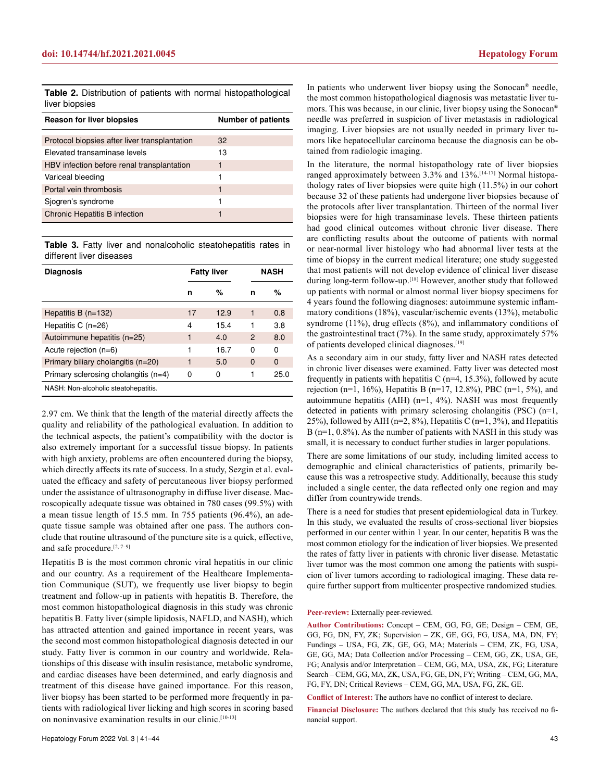**Table 2.** Distribution of patients with normal histopathological liver biopsies

| <b>Reason for liver biopsies</b>              | <b>Number of patients</b> |  |  |
|-----------------------------------------------|---------------------------|--|--|
|                                               |                           |  |  |
| Protocol biopsies after liver transplantation | 32                        |  |  |
| Elevated transaminase levels                  | 13                        |  |  |
| HBV infection before renal transplantation    | 1                         |  |  |
| Variceal bleeding                             | 1                         |  |  |
| Portal vein thrombosis                        | 1                         |  |  |
| Sjogren's syndrome                            | 1                         |  |  |
| Chronic Hepatitis B infection                 | 1                         |  |  |

**Table 3.** Fatty liver and nonalcoholic steatohepatitis rates in different liver diseases

| <b>Diagnosis</b>                     | <b>Fatty liver</b> |      | <b>NASH</b> |          |
|--------------------------------------|--------------------|------|-------------|----------|
|                                      | n                  | %    | n           | %        |
| Hepatitis B $(n=132)$                | 17                 | 12.9 | 1           | 0.8      |
| Hepatitis C $(n=26)$                 | 4                  | 15.4 | 1           | 3.8      |
| Autoimmune hepatitis (n=25)          | 1                  | 4.0  | 2           | 8.0      |
| Acute rejection (n=6)                | 1                  | 16.7 | 0           | 0        |
| Primary biliary cholangitis (n=20)   | 1                  | 5.0  | $\Omega$    | $\Omega$ |
| Primary sclerosing cholangitis (n=4) | 0                  | 0    | 1           | 25.0     |
| NASH: Non-alcoholic steatohepatitis. |                    |      |             |          |

2.97 cm. We think that the length of the material directly affects the quality and reliability of the pathological evaluation. In addition to the technical aspects, the patient's compatibility with the doctor is also extremely important for a successful tissue biopsy. In patients with high anxiety, problems are often encountered during the biopsy, which directly affects its rate of success. In a study, Sezgin et al. evaluated the efficacy and safety of percutaneous liver biopsy performed under the assistance of ultrasonography in diffuse liver disease. Macroscopically adequate tissue was obtained in 780 cases (99.5%) with a mean tissue length of 15.5 mm. In 755 patients (96.4%), an adequate tissue sample was obtained after one pass. The authors conclude that routine ultrasound of the puncture site is a quick, effective, and safe procedure.<sup>[2, 7–9]</sup>

Hepatitis B is the most common chronic viral hepatitis in our clinic and our country. As a requirement of the Healthcare Implementation Communique (SUT), we frequently use liver biopsy to begin treatment and follow-up in patients with hepatitis B. Therefore, the most common histopathological diagnosis in this study was chronic hepatitis B. Fatty liver (simple lipidosis, NAFLD, and NASH), which has attracted attention and gained importance in recent years, was the second most common histopathological diagnosis detected in our study. Fatty liver is common in our country and worldwide. Relationships of this disease with insulin resistance, metabolic syndrome, and cardiac diseases have been determined, and early diagnosis and treatment of this disease have gained importance. For this reason, liver biopsy has been started to be performed more frequently in patients with radiological liver licking and high scores in scoring based on noninvasive examination results in our clinic.[10-13]

In patients who underwent liver biopsy using the Sonocan® needle, the most common histopathological diagnosis was metastatic liver tumors. This was because, in our clinic, liver biopsy using the Sonocan® needle was preferred in suspicion of liver metastasis in radiological imaging. Liver biopsies are not usually needed in primary liver tumors like hepatocellular carcinoma because the diagnosis can be obtained from radiologic imaging.

In the literature, the normal histopathology rate of liver biopsies ranged approximately between 3.3% and 13%.[14-17] Normal histopathology rates of liver biopsies were quite high (11.5%) in our cohort because 32 of these patients had undergone liver biopsies because of the protocols after liver transplantation. Thirteen of the normal liver biopsies were for high transaminase levels. These thirteen patients had good clinical outcomes without chronic liver disease. There are conflicting results about the outcome of patients with normal or near-normal liver histology who had abnormal liver tests at the time of biopsy in the current medical literature; one study suggested that most patients will not develop evidence of clinical liver disease during long-term follow-up.[18] However, another study that followed up patients with normal or almost normal liver biopsy specimens for 4 years found the following diagnoses: autoimmune systemic inflammatory conditions (18%), vascular/ischemic events (13%), metabolic syndrome (11%), drug effects (8%), and inflammatory conditions of the gastrointestinal tract (7%). In the same study, approximately 57% of patients developed clinical diagnoses.[19]

As a secondary aim in our study, fatty liver and NASH rates detected in chronic liver diseases were examined. Fatty liver was detected most frequently in patients with hepatitis C ( $n=4$ , 15.3%), followed by acute rejection (n=1, 16%), Hepatitis B (n=17, 12.8%), PBC (n=1, 5%), and autoimmune hepatitis (AIH)  $(n=1, 4\%)$ . NASH was most frequently detected in patients with primary sclerosing cholangitis (PSC) (n=1, 25%), followed by AIH ( $n=2$ , 8%), Hepatitis C ( $n=1$ , 3%), and Hepatitis  $B(n=1, 0.8\%)$ . As the number of patients with NASH in this study was small, it is necessary to conduct further studies in larger populations.

There are some limitations of our study, including limited access to demographic and clinical characteristics of patients, primarily because this was a retrospective study. Additionally, because this study included a single center, the data reflected only one region and may differ from countrywide trends.

There is a need for studies that present epidemiological data in Turkey. In this study, we evaluated the results of cross-sectional liver biopsies performed in our center within 1 year. In our center, hepatitis B was the most common etiology for the indication of liver biopsies. We presented the rates of fatty liver in patients with chronic liver disease. Metastatic liver tumor was the most common one among the patients with suspicion of liver tumors according to radiological imaging. These data require further support from multicenter prospective randomized studies.

#### **Peer-review:** Externally peer-reviewed.

**Author Contributions:** Concept – CEM, GG, FG, GE; Design – CEM, GE, GG, FG, DN, FY, ZK; Supervision – ZK, GE, GG, FG, USA, MA, DN, FY; Fundings – USA, FG, ZK, GE, GG, MA; Materials – CEM, ZK, FG, USA, GE, GG, MA; Data Collection and/or Processing – CEM, GG, ZK, USA, GE, FG; Analysis and/or Interpretation – CEM, GG, MA, USA, ZK, FG; Literature Search – CEM, GG, MA, ZK, USA, FG, GE, DN, FY; Writing – CEM, GG, MA, FG, FY, DN; Critical Reviews – CEM, GG, MA, USA, FG, ZK, GE.

**Conflict of Interest:** The authors have no conflict of interest to declare.

**Financial Disclosure:** The authors declared that this study has received no financial support.